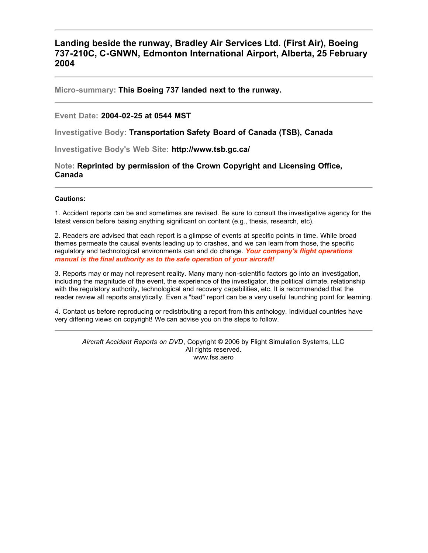### **Landing beside the runway, Bradley Air Services Ltd. (First Air), Boeing 737-210C, C-GNWN, Edmonton International Airport, Alberta, 25 February 2004**

**Micro-summary: This Boeing 737 landed next to the runway.**

#### **Event Date: 2004-02-25 at 0544 MST**

**Investigative Body: Transportation Safety Board of Canada (TSB), Canada**

**Investigative Body's Web Site: http://www.tsb.gc.ca/**

**Note: Reprinted by permission of the Crown Copyright and Licensing Office, Canada**

#### **Cautions:**

1. Accident reports can be and sometimes are revised. Be sure to consult the investigative agency for the latest version before basing anything significant on content (e.g., thesis, research, etc).

2. Readers are advised that each report is a glimpse of events at specific points in time. While broad themes permeate the causal events leading up to crashes, and we can learn from those, the specific regulatory and technological environments can and do change. *Your company's flight operations manual is the final authority as to the safe operation of your aircraft!*

3. Reports may or may not represent reality. Many many non-scientific factors go into an investigation, including the magnitude of the event, the experience of the investigator, the political climate, relationship with the regulatory authority, technological and recovery capabilities, etc. It is recommended that the reader review all reports analytically. Even a "bad" report can be a very useful launching point for learning.

4. Contact us before reproducing or redistributing a report from this anthology. Individual countries have very differing views on copyright! We can advise you on the steps to follow.

*Aircraft Accident Reports on DVD*, Copyright © 2006 by Flight Simulation Systems, LLC All rights reserved. www.fss.aero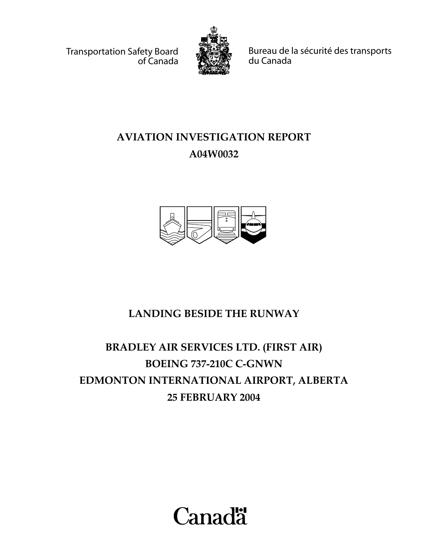Transportation Safety Board of Canada



Bureau de la sécurité des transports du Canada

# **AVIATION INVESTIGATION REPORT A04W0032**



# **LANDING BESIDE THE RUNWAY**

# **BRADLEY AIR SERVICES LTD. (FIRST AIR) BOEING 737-210C C-GNWN EDMONTON INTERNATIONAL AIRPORT, ALBERTA 25 FEBRUARY 2004**

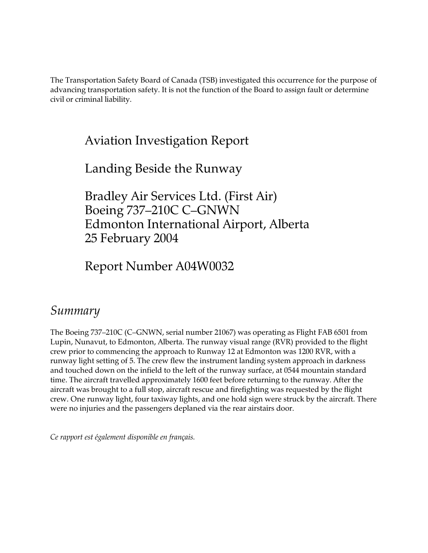The Transportation Safety Board of Canada (TSB) investigated this occurrence for the purpose of advancing transportation safety. It is not the function of the Board to assign fault or determine civil or criminal liability.

## Aviation Investigation Report

## Landing Beside the Runway

Bradley Air Services Ltd. (First Air) Boeing 737–210C C–GNWN Edmonton International Airport, Alberta 25 February 2004

Report Number A04W0032

### *Summary*

The Boeing 737–210C (C–GNWN, serial number 21067) was operating as Flight FAB 6501 from Lupin, Nunavut, to Edmonton, Alberta. The runway visual range (RVR) provided to the flight crew prior to commencing the approach to Runway 12 at Edmonton was 1200 RVR, with a runway light setting of 5. The crew flew the instrument landing system approach in darkness and touched down on the infield to the left of the runway surface, at 0544 mountain standard time. The aircraft travelled approximately 1600 feet before returning to the runway. After the aircraft was brought to a full stop, aircraft rescue and firefighting was requested by the flight crew. One runway light, four taxiway lights, and one hold sign were struck by the aircraft. There were no injuries and the passengers deplaned via the rear airstairs door.

*Ce rapport est également disponible en français.*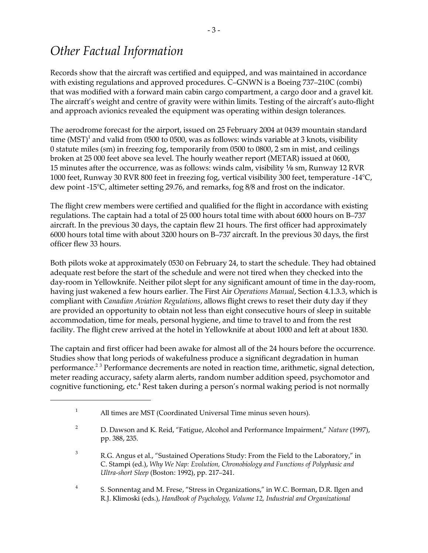# *Other Factual Information*

Records show that the aircraft was certified and equipped, and was maintained in accordance with existing regulations and approved procedures. C–GNWN is a Boeing 737–210C (combi) that was modified with a forward main cabin cargo compartment, a cargo door and a gravel kit. The aircraft's weight and centre of gravity were within limits. Testing of the aircraft's auto-flight and approach avionics revealed the equipment was operating within design tolerances.

The aerodrome forecast for the airport, issued on 25 February 2004 at 0439 mountain standard time (MST) $^1$  and valid from 0500 to 0500, was as follows: winds variable at 3 knots, visibility 0 statute miles (sm) in freezing fog, temporarily from 0500 to 0800, 2 sm in mist, and ceilings broken at 25 000 feet above sea level. The hourly weather report (METAR) issued at 0600, 15 minutes after the occurrence, was as follows: winds calm, visibility  $\frac{1}{8}$  sm, Runway 12 RVR 1000 feet, Runway 30 RVR 800 feet in freezing fog, vertical visibility 300 feet, temperature -14°C, dew point -15°C, altimeter setting 29.76, and remarks, fog 8/8 and frost on the indicator.

The flight crew members were certified and qualified for the flight in accordance with existing regulations. The captain had a total of 25 000 hours total time with about 6000 hours on B–737 aircraft. In the previous 30 days, the captain flew 21 hours. The first officer had approximately 6000 hours total time with about 3200 hours on B–737 aircraft. In the previous 30 days, the first officer flew 33 hours.

Both pilots woke at approximately 0530 on February 24, to start the schedule. They had obtained adequate rest before the start of the schedule and were not tired when they checked into the day-room in Yellowknife. Neither pilot slept for any significant amount of time in the day-room, having just wakened a few hours earlier. The First Air *Operations Manual*, Section 4.1.3.3, which is compliant with *Canadian Aviation Regulations*, allows flight crews to reset their duty day if they are provided an opportunity to obtain not less than eight consecutive hours of sleep in suitable accommodation, time for meals, personal hygiene, and time to travel to and from the rest facility. The flight crew arrived at the hotel in Yellowknife at about 1000 and left at about 1830.

The captain and first officer had been awake for almost all of the 24 hours before the occurrence. Studies show that long periods of wakefulness produce a significant degradation in human performance.<sup>23</sup> Performance decrements are noted in reaction time, arithmetic, signal detection, meter reading accuracy, safety alarm alerts, random number addition speed, psychomotor and cognitive functioning, etc.<sup>4</sup> Rest taken during a person's normal waking period is not normally

<sup>&</sup>lt;sup>1</sup> All times are MST (Coordinated Universal Time minus seven hours).

<sup>2</sup> D. Dawson and K. Reid, "Fatigue, Alcohol and Performance Impairment," *Nature* (1997), pp. 388, 235.

<sup>&</sup>lt;sup>3</sup> R.G. Angus et al., "Sustained Operations Study: From the Field to the Laboratory," in C. Stampi (ed.), *Why We Nap: Evolution, Chronobiology and Functions of Polyphasic and Ultra-short Sleep* (Boston: 1992), pp. 217–241.

<sup>4</sup> S. Sonnentag and M. Frese, "Stress in Organizations," in W.C. Borman, D.R. Ilgen and R.J. Klimoski (eds.), *Handbook of Psychology, Volume 12, Industrial and Organizational*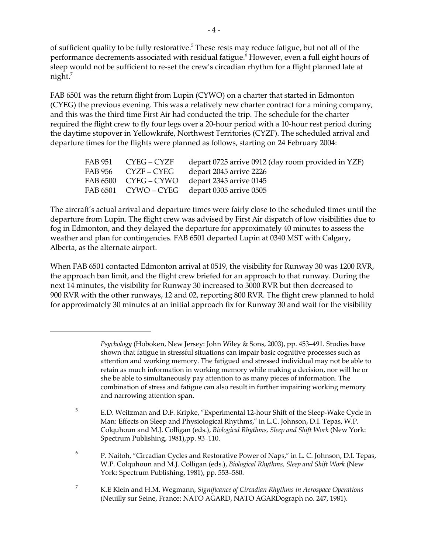of sufficient quality to be fully restorative.<sup>5</sup> These rests may reduce fatigue, but not all of the performance decrements associated with residual fatigue.<sup>6</sup> However, even a full eight hours of sleep would not be sufficient to re-set the crew's circadian rhythm for a flight planned late at night. $7$ 

FAB 6501 was the return flight from Lupin (CYWO) on a charter that started in Edmonton (CYEG) the previous evening. This was a relatively new charter contract for a mining company, and this was the third time First Air had conducted the trip. The schedule for the charter required the flight crew to fly four legs over a 20-hour period with a 10-hour rest period during the daytime stopover in Yellowknife, Northwest Territories (CYZF). The scheduled arrival and departure times for the flights were planned as follows, starting on 24 February 2004:

|  | FAB 951 CYEG – CYZF depart 0725 arrive 0912 (day room provided in YZF) |
|--|------------------------------------------------------------------------|
|  | FAB 956 CYZF – CYEG depart 2045 arrive 2226                            |
|  | FAB 6500 CYEG – CYWO depart 2345 arrive 0145                           |
|  | FAB 6501 CYWO – CYEG depart 0305 arrive 0505                           |

The aircraft's actual arrival and departure times were fairly close to the scheduled times until the departure from Lupin. The flight crew was advised by First Air dispatch of low visibilities due to fog in Edmonton, and they delayed the departure for approximately 40 minutes to assess the weather and plan for contingencies. FAB 6501 departed Lupin at 0340 MST with Calgary, Alberta, as the alternate airport.

When FAB 6501 contacted Edmonton arrival at 0519, the visibility for Runway 30 was 1200 RVR, the approach ban limit, and the flight crew briefed for an approach to that runway. During the next 14 minutes, the visibility for Runway 30 increased to 3000 RVR but then decreased to 900 RVR with the other runways, 12 and 02, reporting 800 RVR. The flight crew planned to hold for approximately 30 minutes at an initial approach fix for Runway 30 and wait for the visibility

<sup>5</sup> E.D. Weitzman and D.F. Kripke, "Experimental 12-hour Shift of the Sleep-Wake Cycle in Man: Effects on Sleep and Physiological Rhythms," in L.C. Johnson, D.I. Tepas, W.P. Colquhoun and M.J. Colligan (eds.), *Biological Rhythms, Sleep and Shift Work* (New York: Spectrum Publishing, 1981),pp. 93–110.

<sup>6</sup> P. Naitoh, "Circadian Cycles and Restorative Power of Naps," in L. C. Johnson, D.I. Tepas, W.P. Colquhoun and M.J. Colligan (eds.), *Biological Rhythms, Sleep and Shift Work* (New York: Spectrum Publishing, 1981), pp. 553–580.

<sup>7</sup> K.E Klein and H.M. Wegmann, *Significance of Circadian Rhythms in Aerospace Operations* (Neuilly sur Seine, France: NATO AGARD, NATO AGARDograph no. 247, 1981).

*Psychology* (Hoboken, New Jersey: John Wiley & Sons, 2003), pp. 453–491. Studies have shown that fatigue in stressful situations can impair basic cognitive processes such as attention and working memory. The fatigued and stressed individual may not be able to retain as much information in working memory while making a decision, nor will he or she be able to simultaneously pay attention to as many pieces of information. The combination of stress and fatigue can also result in further impairing working memory and narrowing attention span.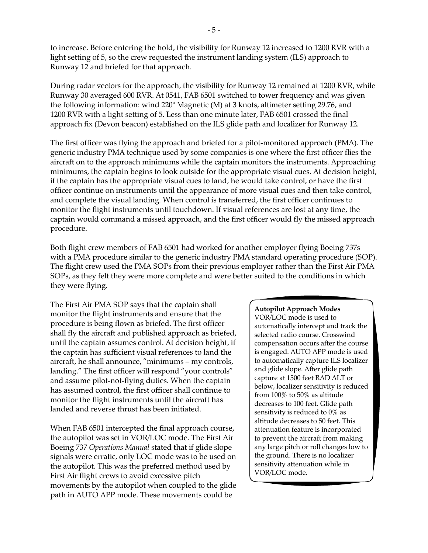to increase. Before entering the hold, the visibility for Runway 12 increased to 1200 RVR with a light setting of 5, so the crew requested the instrument landing system (ILS) approach to Runway 12 and briefed for that approach.

During radar vectors for the approach, the visibility for Runway 12 remained at 1200 RVR, while Runway 30 averaged 600 RVR. At 0541, FAB 6501 switched to tower frequency and was given the following information: wind 220° Magnetic (M) at 3 knots, altimeter setting 29.76, and 1200 RVR with a light setting of 5. Less than one minute later, FAB 6501 crossed the final approach fix (Devon beacon) established on the ILS glide path and localizer for Runway 12.

The first officer was flying the approach and briefed for a pilot-monitored approach (PMA). The generic industry PMA technique used by some companies is one where the first officer flies the aircraft on to the approach minimums while the captain monitors the instruments. Approaching minimums, the captain begins to look outside for the appropriate visual cues. At decision height, if the captain has the appropriate visual cues to land, he would take control, or have the first officer continue on instruments until the appearance of more visual cues and then take control, and complete the visual landing. When control is transferred, the first officer continues to monitor the flight instruments until touchdown. If visual references are lost at any time, the captain would command a missed approach, and the first officer would fly the missed approach procedure.

Both flight crew members of FAB 6501 had worked for another employer flying Boeing 737s with a PMA procedure similar to the generic industry PMA standard operating procedure (SOP). The flight crew used the PMA SOPs from their previous employer rather than the First Air PMA SOPs, as they felt they were more complete and were better suited to the conditions in which they were flying.

The First Air PMA SOP says that the captain shall monitor the flight instruments and ensure that the procedure is being flown as briefed. The first officer shall fly the aircraft and published approach as briefed, until the captain assumes control. At decision height, if the captain has sufficient visual references to land the aircraft, he shall announce, "minimums – my controls, landing." The first officer will respond "your controls" and assume pilot-not-flying duties. When the captain has assumed control, the first officer shall continue to monitor the flight instruments until the aircraft has landed and reverse thrust has been initiated.

When FAB 6501 intercepted the final approach course, the autopilot was set in VOR/LOC mode. The First Air Boeing 737 *Operations Manual* stated that if glide slope signals were erratic, only LOC mode was to be used on the autopilot. This was the preferred method used by First Air flight crews to avoid excessive pitch movements by the autopilot when coupled to the glide path in AUTO APP mode. These movements could be

#### **Autopilot Approach Modes**

VOR/LOC mode is used to automatically intercept and track the selected radio course. Crosswind compensation occurs after the course is engaged. AUTO APP mode is used to automatically capture ILS localizer and glide slope. After glide path capture at 1500 feet RAD ALT or below, localizer sensitivity is reduced from 100% to 50% as altitude decreases to 100 feet. Glide path sensitivity is reduced to 0% as altitude decreases to 50 feet. This attenuation feature is incorporated to prevent the aircraft from making any large pitch or roll changes low to the ground. There is no localizer sensitivity attenuation while in VOR/LOC mode.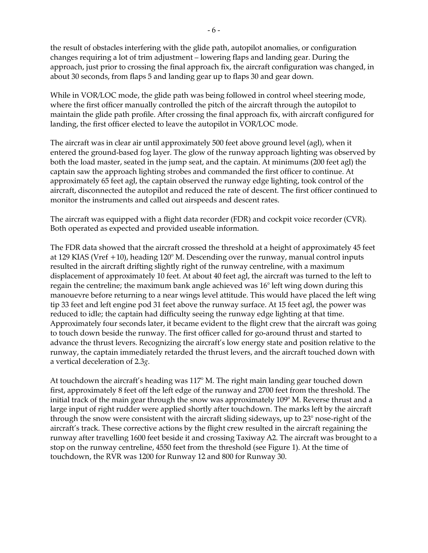the result of obstacles interfering with the glide path, autopilot anomalies, or configuration changes requiring a lot of trim adjustment – lowering flaps and landing gear. During the approach, just prior to crossing the final approach fix, the aircraft configuration was changed, in about 30 seconds, from flaps 5 and landing gear up to flaps 30 and gear down.

While in VOR/LOC mode, the glide path was being followed in control wheel steering mode, where the first officer manually controlled the pitch of the aircraft through the autopilot to maintain the glide path profile. After crossing the final approach fix, with aircraft configured for landing, the first officer elected to leave the autopilot in VOR/LOC mode.

The aircraft was in clear air until approximately 500 feet above ground level (agl), when it entered the ground-based fog layer. The glow of the runway approach lighting was observed by both the load master, seated in the jump seat, and the captain. At minimums (200 feet agl) the captain saw the approach lighting strobes and commanded the first officer to continue. At approximately 65 feet agl, the captain observed the runway edge lighting, took control of the aircraft, disconnected the autopilot and reduced the rate of descent. The first officer continued to monitor the instruments and called out airspeeds and descent rates.

The aircraft was equipped with a flight data recorder (FDR) and cockpit voice recorder (CVR). Both operated as expected and provided useable information.

The FDR data showed that the aircraft crossed the threshold at a height of approximately 45 feet at 129 KIAS (Vref +10), heading 120° M. Descending over the runway, manual control inputs resulted in the aircraft drifting slightly right of the runway centreline, with a maximum displacement of approximately 10 feet. At about 40 feet agl, the aircraft was turned to the left to regain the centreline; the maximum bank angle achieved was 16° left wing down during this manouevre before returning to a near wings level attitude. This would have placed the left wing tip 33 feet and left engine pod 31 feet above the runway surface. At 15 feet agl, the power was reduced to idle; the captain had difficulty seeing the runway edge lighting at that time. Approximately four seconds later, it became evident to the flight crew that the aircraft was going to touch down beside the runway. The first officer called for go-around thrust and started to advance the thrust levers. Recognizing the aircraft's low energy state and position relative to the runway, the captain immediately retarded the thrust levers, and the aircraft touched down with a vertical deceleration of 2.3*g*.

At touchdown the aircraft's heading was 117° M. The right main landing gear touched down first, approximately 8 feet off the left edge of the runway and 2700 feet from the threshold. The initial track of the main gear through the snow was approximately 109° M. Reverse thrust and a large input of right rudder were applied shortly after touchdown. The marks left by the aircraft through the snow were consistent with the aircraft sliding sideways, up to 23° nose-right of the aircraft's track. These corrective actions by the flight crew resulted in the aircraft regaining the runway after travelling 1600 feet beside it and crossing Taxiway A2. The aircraft was brought to a stop on the runway centreline, 4550 feet from the threshold (see Figure 1). At the time of touchdown, the RVR was 1200 for Runway 12 and 800 for Runway 30.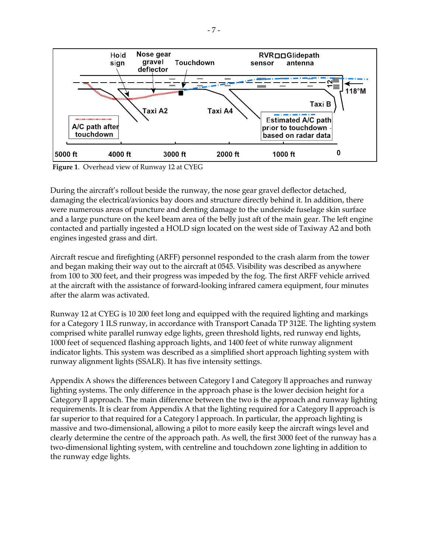

**Figure 1**. Overhead view of Runway 12 at CYEG

During the aircraft's rollout beside the runway, the nose gear gravel deflector detached, damaging the electrical/avionics bay doors and structure directly behind it. In addition, there were numerous areas of puncture and denting damage to the underside fuselage skin surface and a large puncture on the keel beam area of the belly just aft of the main gear. The left engine contacted and partially ingested a HOLD sign located on the west side of Taxiway A2 and both engines ingested grass and dirt.

Aircraft rescue and firefighting (ARFF) personnel responded to the crash alarm from the tower and began making their way out to the aircraft at 0545. Visibility was described as anywhere from 100 to 300 feet, and their progress was impeded by the fog. The first ARFF vehicle arrived at the aircraft with the assistance of forward-looking infrared camera equipment, four minutes after the alarm was activated.

Runway 12 at CYEG is 10 200 feet long and equipped with the required lighting and markings for a Category 1 ILS runway, in accordance with Transport Canada TP 312E. The lighting system comprised white parallel runway edge lights, green threshold lights, red runway end lights, 1000 feet of sequenced flashing approach lights, and 1400 feet of white runway alignment indicator lights. This system was described as a simplified short approach lighting system with runway alignment lights (SSALR). It has five intensity settings.

Appendix A shows the differences between Category l and Category ll approaches and runway lighting systems. The only difference in the approach phase is the lower decision height for a Category ll approach. The main difference between the two is the approach and runway lighting requirements. It is clear from Appendix A that the lighting required for a Category ll approach is far superior to that required for a Category l approach. In particular, the approach lighting is massive and two-dimensional, allowing a pilot to more easily keep the aircraft wings level and clearly determine the centre of the approach path. As well, the first 3000 feet of the runway has a two-dimensional lighting system, with centreline and touchdown zone lighting in addition to the runway edge lights.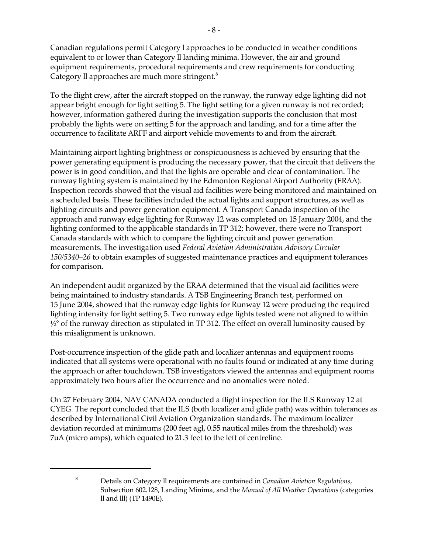Canadian regulations permit Category l approaches to be conducted in weather conditions equivalent to or lower than Category ll landing minima. However, the air and ground equipment requirements, procedural requirements and crew requirements for conducting Category II approaches are much more stringent.<sup>8</sup>

To the flight crew, after the aircraft stopped on the runway, the runway edge lighting did not appear bright enough for light setting 5. The light setting for a given runway is not recorded; however, information gathered during the investigation supports the conclusion that most probably the lights were on setting 5 for the approach and landing, and for a time after the occurrence to facilitate ARFF and airport vehicle movements to and from the aircraft.

Maintaining airport lighting brightness or conspicuousness is achieved by ensuring that the power generating equipment is producing the necessary power, that the circuit that delivers the power is in good condition, and that the lights are operable and clear of contamination. The runway lighting system is maintained by the Edmonton Regional Airport Authority (ERAA). Inspection records showed that the visual aid facilities were being monitored and maintained on a scheduled basis. These facilities included the actual lights and support structures, as well as lighting circuits and power generation equipment. A Transport Canada inspection of the approach and runway edge lighting for Runway 12 was completed on 15 January 2004, and the lighting conformed to the applicable standards in TP 312; however, there were no Transport Canada standards with which to compare the lighting circuit and power generation measurements. The investigation used *Federal Aviation Administration Advisory Circular 150/5340–26* to obtain examples of suggested maintenance practices and equipment tolerances for comparison.

An independent audit organized by the ERAA determined that the visual aid facilities were being maintained to industry standards. A TSB Engineering Branch test, performed on 15 June 2004, showed that the runway edge lights for Runway 12 were producing the required lighting intensity for light setting 5. Two runway edge lights tested were not aligned to within  $\frac{1}{2}$ ° of the runway direction as stipulated in TP 312. The effect on overall luminosity caused by this misalignment is unknown.

Post-occurrence inspection of the glide path and localizer antennas and equipment rooms indicated that all systems were operational with no faults found or indicated at any time during the approach or after touchdown. TSB investigators viewed the antennas and equipment rooms approximately two hours after the occurrence and no anomalies were noted.

On 27 February 2004, NAV CANADA conducted a flight inspection for the ILS Runway 12 at CYEG. The report concluded that the ILS (both localizer and glide path) was within tolerances as described by International Civil Aviation Organization standards. The maximum localizer deviation recorded at minimums (200 feet agl, 0.55 nautical miles from the threshold) was 7uA (micro amps), which equated to 21.3 feet to the left of centreline.

<sup>8</sup> Details on Category ll requirements are contained in *Canadian Aviation Regulations*, Subsection 602.128, Landing Minima, and the *Manual of All Weather Operations* (categories ll and lll) (TP 1490E).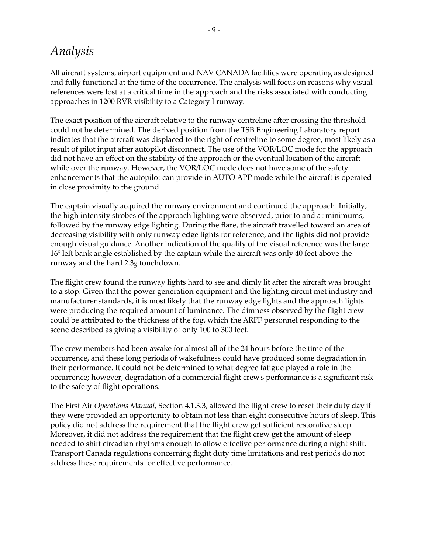## *Analysis*

All aircraft systems, airport equipment and NAV CANADA facilities were operating as designed and fully functional at the time of the occurrence. The analysis will focus on reasons why visual references were lost at a critical time in the approach and the risks associated with conducting approaches in 1200 RVR visibility to a Category I runway.

The exact position of the aircraft relative to the runway centreline after crossing the threshold could not be determined. The derived position from the TSB Engineering Laboratory report indicates that the aircraft was displaced to the right of centreline to some degree, most likely as a result of pilot input after autopilot disconnect. The use of the VOR/LOC mode for the approach did not have an effect on the stability of the approach or the eventual location of the aircraft while over the runway. However, the VOR/LOC mode does not have some of the safety enhancements that the autopilot can provide in AUTO APP mode while the aircraft is operated in close proximity to the ground.

The captain visually acquired the runway environment and continued the approach. Initially, the high intensity strobes of the approach lighting were observed, prior to and at minimums, followed by the runway edge lighting. During the flare, the aircraft travelled toward an area of decreasing visibility with only runway edge lights for reference, and the lights did not provide enough visual guidance. Another indication of the quality of the visual reference was the large 16° left bank angle established by the captain while the aircraft was only 40 feet above the runway and the hard 2.3*g* touchdown.

The flight crew found the runway lights hard to see and dimly lit after the aircraft was brought to a stop. Given that the power generation equipment and the lighting circuit met industry and manufacturer standards, it is most likely that the runway edge lights and the approach lights were producing the required amount of luminance. The dimness observed by the flight crew could be attributed to the thickness of the fog, which the ARFF personnel responding to the scene described as giving a visibility of only 100 to 300 feet.

The crew members had been awake for almost all of the 24 hours before the time of the occurrence, and these long periods of wakefulness could have produced some degradation in their performance. It could not be determined to what degree fatigue played a role in the occurrence; however, degradation of a commercial flight crew's performance is a significant risk to the safety of flight operations.

The First Air *Operations Manual*, Section 4.1.3.3, allowed the flight crew to reset their duty day if they were provided an opportunity to obtain not less than eight consecutive hours of sleep. This policy did not address the requirement that the flight crew get sufficient restorative sleep. Moreover, it did not address the requirement that the flight crew get the amount of sleep needed to shift circadian rhythms enough to allow effective performance during a night shift. Transport Canada regulations concerning flight duty time limitations and rest periods do not address these requirements for effective performance.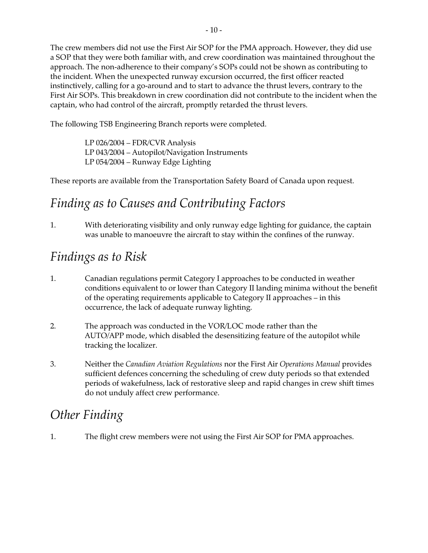The crew members did not use the First Air SOP for the PMA approach. However, they did use a SOP that they were both familiar with, and crew coordination was maintained throughout the approach. The non-adherence to their company's SOPs could not be shown as contributing to the incident. When the unexpected runway excursion occurred, the first officer reacted instinctively, calling for a go-around and to start to advance the thrust levers, contrary to the First Air SOPs. This breakdown in crew coordination did not contribute to the incident when the captain, who had control of the aircraft, promptly retarded the thrust levers.

The following TSB Engineering Branch reports were completed.

LP 026/2004 – FDR/CVR Analysis LP 043/2004 – Autopilot/Navigation Instruments LP 054/2004 – Runway Edge Lighting

These reports are available from the Transportation Safety Board of Canada upon request.

# *Finding as to Causes and Contributing Factors*

1. With deteriorating visibility and only runway edge lighting for guidance, the captain was unable to manoeuvre the aircraft to stay within the confines of the runway.

## *Findings as to Risk*

- 1. Canadian regulations permit Category I approaches to be conducted in weather conditions equivalent to or lower than Category II landing minima without the benefit of the operating requirements applicable to Category II approaches – in this occurrence, the lack of adequate runway lighting.
- 2. The approach was conducted in the VOR/LOC mode rather than the AUTO/APP mode, which disabled the desensitizing feature of the autopilot while tracking the localizer.
- 3. Neither the *Canadian Aviation Regulations* nor the First Air *Operations Manual* provides sufficient defences concerning the scheduling of crew duty periods so that extended periods of wakefulness, lack of restorative sleep and rapid changes in crew shift times do not unduly affect crew performance.

# *Other Finding*

1. The flight crew members were not using the First Air SOP for PMA approaches.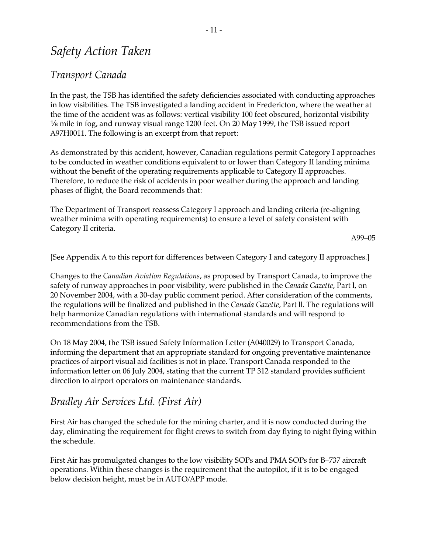### *Safety Action Taken*

### *Transport Canada*

In the past, the TSB has identified the safety deficiencies associated with conducting approaches in low visibilities. The TSB investigated a landing accident in Fredericton, where the weather at the time of the accident was as follows: vertical visibility 100 feet obscured, horizontal visibility  $\frac{1}{8}$  mile in fog, and runway visual range 1200 feet. On 20 May 1999, the TSB issued report A97H0011. The following is an excerpt from that report:

As demonstrated by this accident, however, Canadian regulations permit Category I approaches to be conducted in weather conditions equivalent to or lower than Category II landing minima without the benefit of the operating requirements applicable to Category II approaches. Therefore, to reduce the risk of accidents in poor weather during the approach and landing phases of flight, the Board recommends that:

The Department of Transport reassess Category I approach and landing criteria (re-aligning weather minima with operating requirements) to ensure a level of safety consistent with Category II criteria.

A99–05

[See Appendix A to this report for differences between Category I and category II approaches.]

Changes to the *Canadian Aviation Regulations*, as proposed by Transport Canada, to improve the safety of runway approaches in poor visibility, were published in the *Canada Gazette*, Part l, on 20 November 2004, with a 30-day public comment period. After consideration of the comments, the regulations will be finalized and published in the *Canada Gazette*, Part ll. The regulations will help harmonize Canadian regulations with international standards and will respond to recommendations from the TSB.

On 18 May 2004, the TSB issued Safety Information Letter (A040029) to Transport Canada, informing the department that an appropriate standard for ongoing preventative maintenance practices of airport visual aid facilities is not in place. Transport Canada responded to the information letter on 06 July 2004, stating that the current TP 312 standard provides sufficient direction to airport operators on maintenance standards.

### *Bradley Air Services Ltd. (First Air)*

First Air has changed the schedule for the mining charter, and it is now conducted during the day, eliminating the requirement for flight crews to switch from day flying to night flying within the schedule.

First Air has promulgated changes to the low visibility SOPs and PMA SOPs for B–737 aircraft operations. Within these changes is the requirement that the autopilot, if it is to be engaged below decision height, must be in AUTO/APP mode.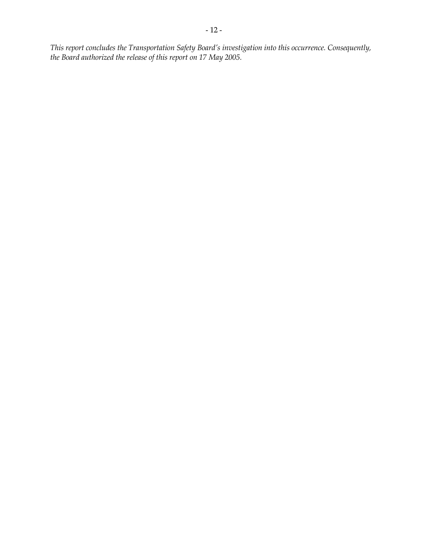*This report concludes the Transportation Safety Board's investigation into this occurrence. Consequently, the Board authorized the release of this report on 17 May 2005.*